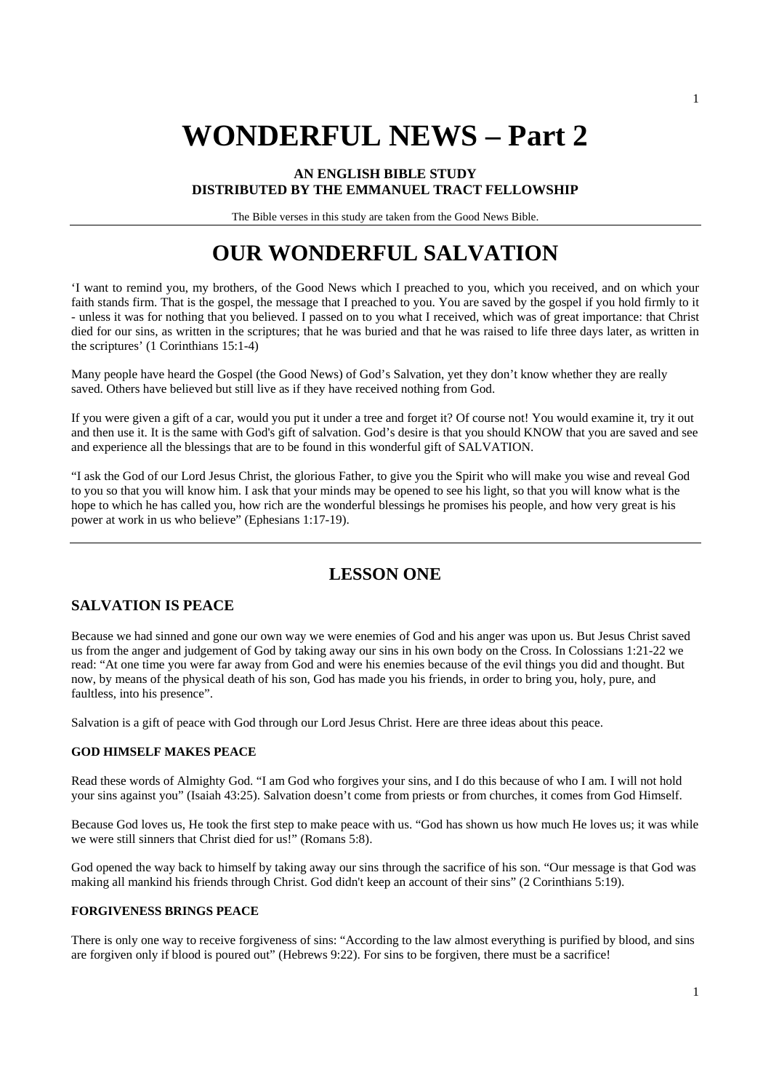# **WONDERFUL NEWS – Part 2**

#### **AN ENGLISH BIBLE STUDY DISTRIBUTED BY THE EMMANUEL TRACT FELLOWSHIP**

The Bible verses in this study are taken from the Good News Bible.

# **OUR WONDERFUL SALVATION**

'I want to remind you, my brothers, of the Good News which I preached to you, which you received, and on which your faith stands firm. That is the gospel, the message that I preached to you. You are saved by the gospel if you hold firmly to it - unless it was for nothing that you believed. I passed on to you what I received, which was of great importance: that Christ died for our sins, as written in the scriptures; that he was buried and that he was raised to life three days later, as written in the scriptures' (1 Corinthians 15:1-4)

Many people have heard the Gospel (the Good News) of God's Salvation, yet they don't know whether they are really saved. Others have believed but still live as if they have received nothing from God.

If you were given a gift of a car, would you put it under a tree and forget it? Of course not! You would examine it, try it out and then use it. It is the same with God's gift of salvation. God's desire is that you should KNOW that you are saved and see and experience all the blessings that are to be found in this wonderful gift of SALVATION.

"I ask the God of our Lord Jesus Christ, the glorious Father, to give you the Spirit who will make you wise and reveal God to you so that you will know him. I ask that your minds may be opened to see his light, so that you will know what is the hope to which he has called you, how rich are the wonderful blessings he promises his people, and how very great is his power at work in us who believe" (Ephesians 1:17-19).

# **LESSON ONE**

# **SALVATION IS PEACE**

Because we had sinned and gone our own way we were enemies of God and his anger was upon us. But Jesus Christ saved us from the anger and judgement of God by taking away our sins in his own body on the Cross. In Colossians 1:21-22 we read: "At one time you were far away from God and were his enemies because of the evil things you did and thought. But now, by means of the physical death of his son, God has made you his friends, in order to bring you, holy, pure, and faultless, into his presence".

Salvation is a gift of peace with God through our Lord Jesus Christ. Here are three ideas about this peace.

#### **GOD HIMSELF MAKES PEACE**

Read these words of Almighty God. "I am God who forgives your sins, and I do this because of who I am. I will not hold your sins against you" (Isaiah 43:25). Salvation doesn't come from priests or from churches, it comes from God Himself.

Because God loves us, He took the first step to make peace with us. "God has shown us how much He loves us; it was while we were still sinners that Christ died for us!" (Romans 5:8).

God opened the way back to himself by taking away our sins through the sacrifice of his son. "Our message is that God was making all mankind his friends through Christ. God didn't keep an account of their sins" (2 Corinthians 5:19).

#### **FORGIVENESS BRINGS PEACE**

There is only one way to receive forgiveness of sins: "According to the law almost everything is purified by blood, and sins are forgiven only if blood is poured out" (Hebrews 9:22). For sins to be forgiven, there must be a sacrifice!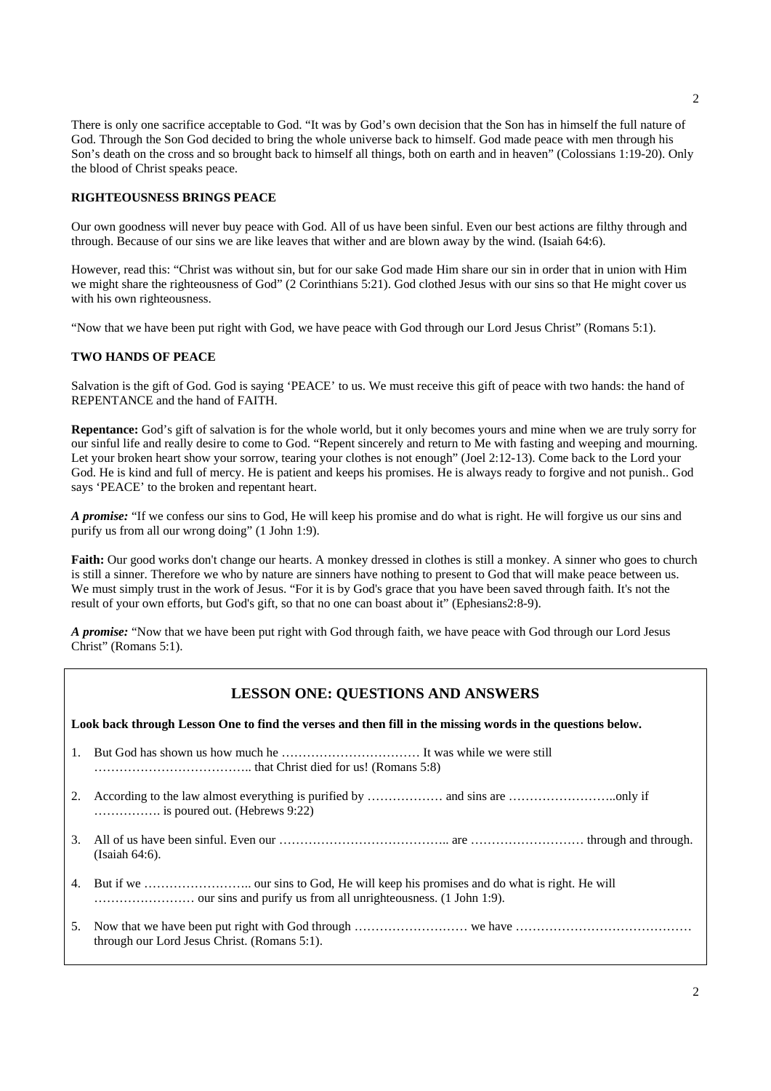There is only one sacrifice acceptable to God. "It was by God's own decision that the Son has in himself the full nature of God. Through the Son God decided to bring the whole universe back to himself. God made peace with men through his Son's death on the cross and so brought back to himself all things, both on earth and in heaven" (Colossians 1:19-20). Only the blood of Christ speaks peace.

#### **RIGHTEOUSNESS BRINGS PEACE**

Our own goodness will never buy peace with God. All of us have been sinful. Even our best actions are filthy through and through. Because of our sins we are like leaves that wither and are blown away by the wind. (Isaiah 64:6).

However, read this: "Christ was without sin, but for our sake God made Him share our sin in order that in union with Him we might share the righteousness of God" (2 Corinthians 5:21). God clothed Jesus with our sins so that He might cover us with his own righteousness.

"Now that we have been put right with God, we have peace with God through our Lord Jesus Christ" (Romans 5:1).

#### **TWO HANDS OF PEACE**

Salvation is the gift of God. God is saying 'PEACE' to us. We must receive this gift of peace with two hands: the hand of REPENTANCE and the hand of FAITH.

**Repentance:** God's gift of salvation is for the whole world, but it only becomes yours and mine when we are truly sorry for our sinful life and really desire to come to God. "Repent sincerely and return to Me with fasting and weeping and mourning. Let your broken heart show your sorrow, tearing your clothes is not enough" (Joel 2:12-13). Come back to the Lord your God. He is kind and full of mercy. He is patient and keeps his promises. He is always ready to forgive and not punish.. God says 'PEACE' to the broken and repentant heart.

*A promise:* "If we confess our sins to God, He will keep his promise and do what is right. He will forgive us our sins and purify us from all our wrong doing" (1 John 1:9).

**Faith:** Our good works don't change our hearts. A monkey dressed in clothes is still a monkey. A sinner who goes to church is still a sinner. Therefore we who by nature are sinners have nothing to present to God that will make peace between us. We must simply trust in the work of Jesus. "For it is by God's grace that you have been saved through faith. It's not the result of your own efforts, but God's gift, so that no one can boast about it" (Ephesians2:8-9).

*A promise:* "Now that we have been put right with God through faith, we have peace with God through our Lord Jesus Christ" (Romans 5:1).

#### **LESSON ONE: QUESTIONS AND ANSWERS**

**Look back through Lesson One to find the verses and then fill in the missing words in the questions below.** 

- 1. But God has shown us how much he …………………………… It was while we were still ……………………………….. that Christ died for us! (Romans 5:8)
- 2. According to the law almost everything is purified by ……………… and sins are ……………………..only if ……………. is poured out. (Hebrews 9:22)
- 3. All of us have been sinful. Even our ………………………………….. are ……………………… through and through. (Isaiah 64:6).
- 4. But if we …………………….. our sins to God, He will keep his promises and do what is right. He will …………………… our sins and purify us from all unrighteousness. (1 John 1:9).
- 5. Now that we have been put right with God through ……………………… we have …………………………………… through our Lord Jesus Christ. (Romans 5:1).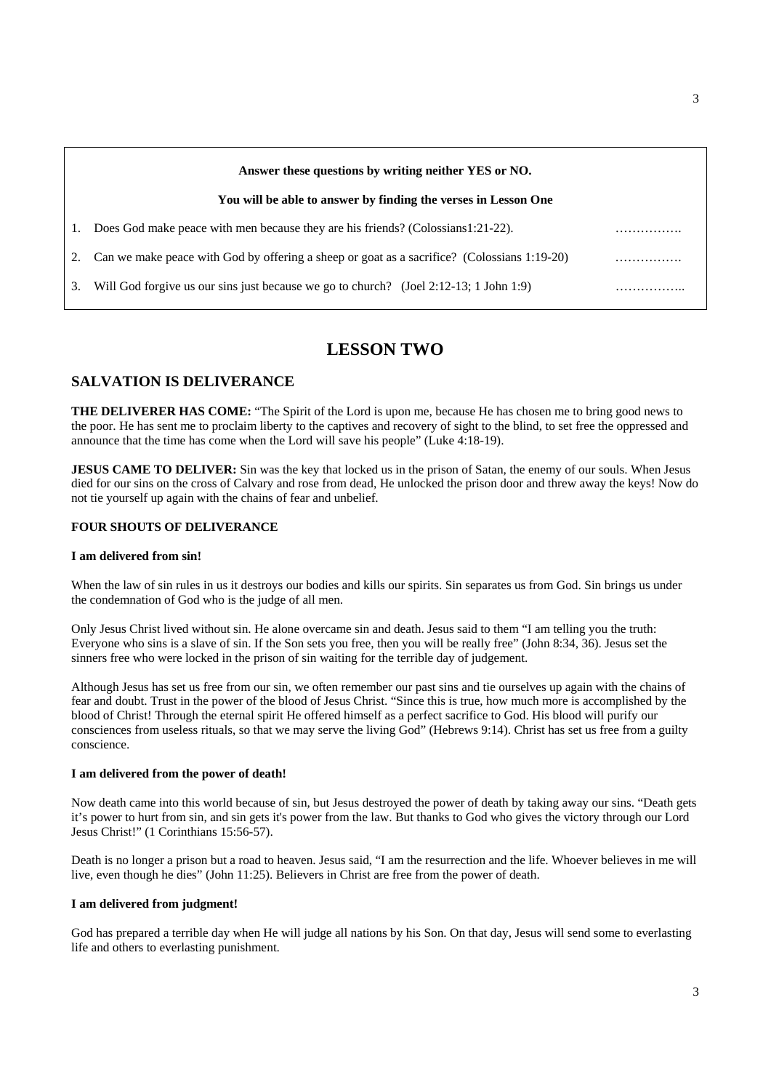|    | Answer these questions by writing neither YES or NO.                                        |  |
|----|---------------------------------------------------------------------------------------------|--|
|    | You will be able to answer by finding the verses in Lesson One                              |  |
| 1. | Does God make peace with men because they are his friends? (Colossians1:21-22).             |  |
|    | Can we make peace with God by offering a sheep or goat as a sacrifice? (Colossians 1:19-20) |  |
| 3. | Will God for give us our sins just because we go to church? (Joel 2:12-13; 1 John 1:9)      |  |
|    |                                                                                             |  |

# **LESSON TWO**

# **SALVATION IS DELIVERANCE**

**THE DELIVERER HAS COME:** "The Spirit of the Lord is upon me, because He has chosen me to bring good news to the poor. He has sent me to proclaim liberty to the captives and recovery of sight to the blind, to set free the oppressed and announce that the time has come when the Lord will save his people" (Luke 4:18-19).

**JESUS CAME TO DELIVER:** Sin was the key that locked us in the prison of Satan, the enemy of our souls. When Jesus died for our sins on the cross of Calvary and rose from dead, He unlocked the prison door and threw away the keys! Now do not tie yourself up again with the chains of fear and unbelief.

#### **FOUR SHOUTS OF DELIVERANCE**

#### **I am delivered from sin!**

When the law of sin rules in us it destroys our bodies and kills our spirits. Sin separates us from God. Sin brings us under the condemnation of God who is the judge of all men.

Only Jesus Christ lived without sin. He alone overcame sin and death. Jesus said to them "I am telling you the truth: Everyone who sins is a slave of sin. If the Son sets you free, then you will be really free" (John 8:34, 36). Jesus set the sinners free who were locked in the prison of sin waiting for the terrible day of judgement.

Although Jesus has set us free from our sin, we often remember our past sins and tie ourselves up again with the chains of fear and doubt. Trust in the power of the blood of Jesus Christ. "Since this is true, how much more is accomplished by the blood of Christ! Through the eternal spirit He offered himself as a perfect sacrifice to God. His blood will purify our consciences from useless rituals, so that we may serve the living God" (Hebrews 9:14). Christ has set us free from a guilty conscience.

#### **I am delivered from the power of death!**

Now death came into this world because of sin, but Jesus destroyed the power of death by taking away our sins. "Death gets it's power to hurt from sin, and sin gets it's power from the law. But thanks to God who gives the victory through our Lord Jesus Christ!" (1 Corinthians 15:56-57).

Death is no longer a prison but a road to heaven. Jesus said, "I am the resurrection and the life. Whoever believes in me will live, even though he dies" (John 11:25). Believers in Christ are free from the power of death.

#### **I am delivered from judgment!**

God has prepared a terrible day when He will judge all nations by his Son. On that day, Jesus will send some to everlasting life and others to everlasting punishment.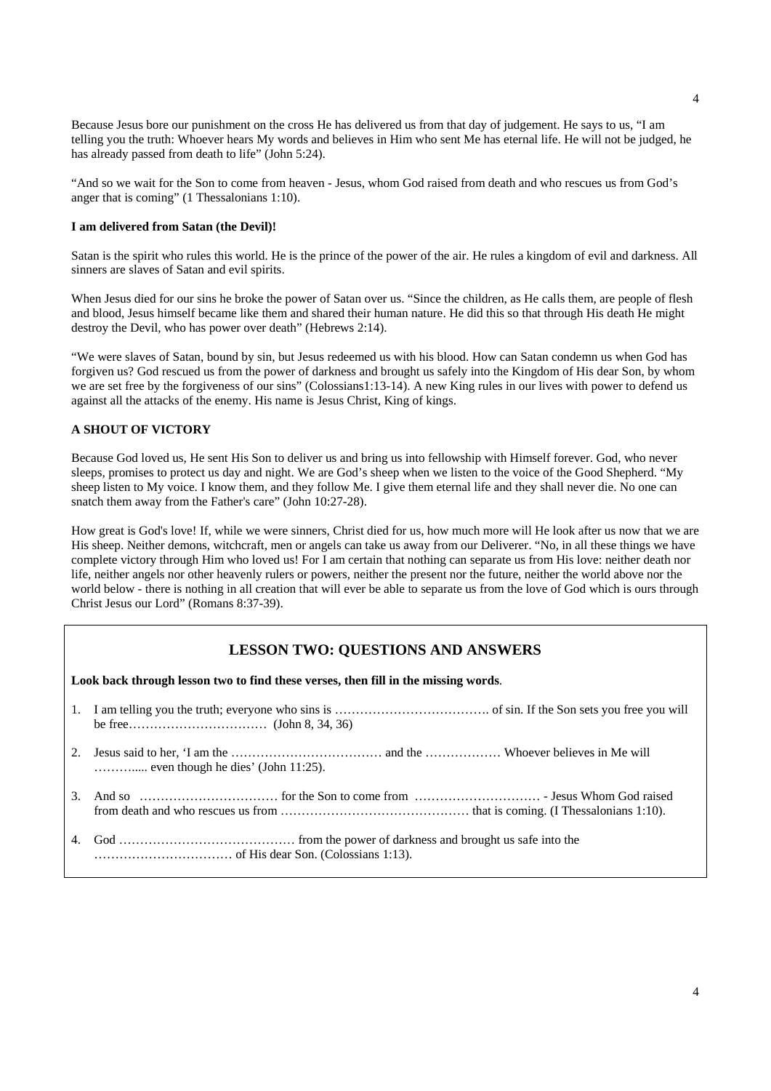Because Jesus bore our punishment on the cross He has delivered us from that day of judgement. He says to us, "I am telling you the truth: Whoever hears My words and believes in Him who sent Me has eternal life. He will not be judged, he has already passed from death to life" (John 5:24).

"And so we wait for the Son to come from heaven - Jesus, whom God raised from death and who rescues us from God's anger that is coming" (1 Thessalonians 1:10).

#### **I am delivered from Satan (the Devil)!**

Satan is the spirit who rules this world. He is the prince of the power of the air. He rules a kingdom of evil and darkness. All sinners are slaves of Satan and evil spirits.

When Jesus died for our sins he broke the power of Satan over us. "Since the children, as He calls them, are people of flesh and blood, Jesus himself became like them and shared their human nature. He did this so that through His death He might destroy the Devil, who has power over death" (Hebrews 2:14).

"We were slaves of Satan, bound by sin, but Jesus redeemed us with his blood. How can Satan condemn us when God has forgiven us? God rescued us from the power of darkness and brought us safely into the Kingdom of His dear Son, by whom we are set free by the forgiveness of our sins" (Colossians1:13-14). A new King rules in our lives with power to defend us against all the attacks of the enemy. His name is Jesus Christ, King of kings.

#### **A SHOUT OF VICTORY**

Because God loved us, He sent His Son to deliver us and bring us into fellowship with Himself forever. God, who never sleeps, promises to protect us day and night. We are God's sheep when we listen to the voice of the Good Shepherd. "My sheep listen to My voice. I know them, and they follow Me. I give them eternal life and they shall never die. No one can snatch them away from the Father's care" (John 10:27-28).

How great is God's love! If, while we were sinners, Christ died for us, how much more will He look after us now that we are His sheep. Neither demons, witchcraft, men or angels can take us away from our Deliverer. "No, in all these things we have complete victory through Him who loved us! For I am certain that nothing can separate us from His love: neither death nor life, neither angels nor other heavenly rulers or powers, neither the present nor the future, neither the world above nor the world below - there is nothing in all creation that will ever be able to separate us from the love of God which is ours through Christ Jesus our Lord" (Romans 8:37-39).

#### **LESSON TWO: QUESTIONS AND ANSWERS**

**Look back through lesson two to find these verses, then fill in the missing words**.

| $\ldots$ even though he dies' (John 11:25). |
|---------------------------------------------|
|                                             |
|                                             |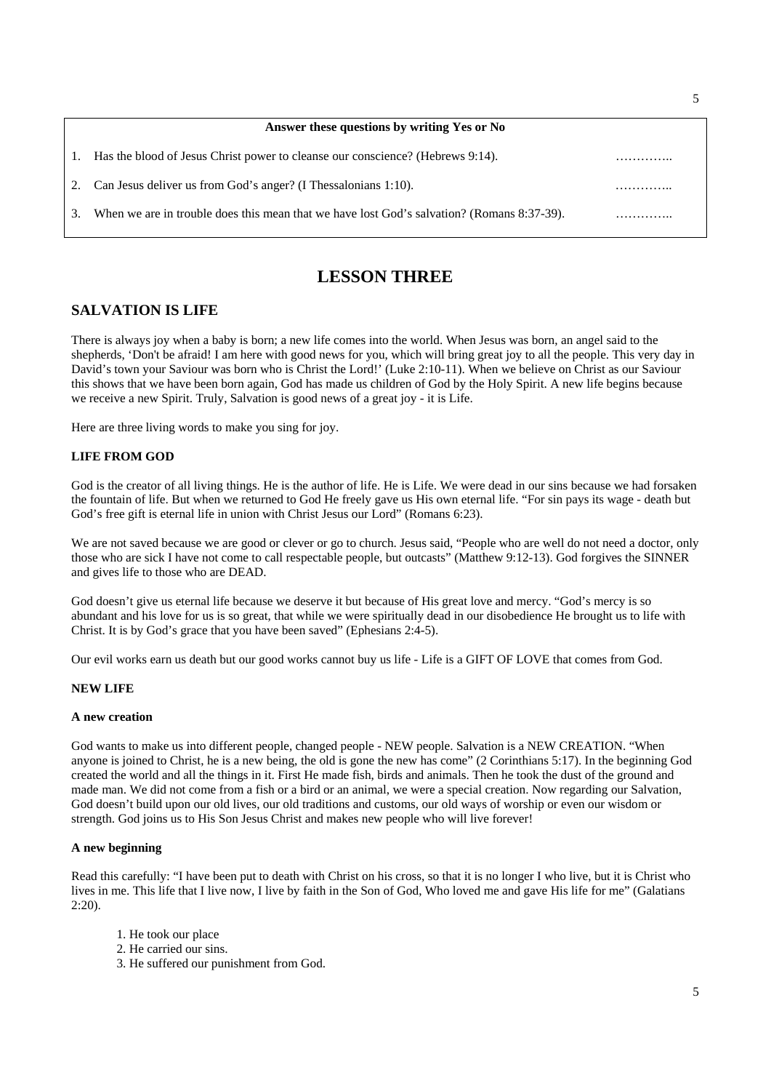|    | Answer these questions by writing Yes or No                                                |  |
|----|--------------------------------------------------------------------------------------------|--|
|    | 1. Has the blood of Jesus Christ power to cleanse our conscience? (Hebrews 9:14).          |  |
| 2. | Can Jesus deliver us from God's anger? (I Thessalonians 1:10).                             |  |
| 3. | When we are in trouble does this mean that we have lost God's salvation? (Romans 8:37-39). |  |

# **LESSON THREE**

# **SALVATION IS LIFE**

There is always joy when a baby is born; a new life comes into the world. When Jesus was born, an angel said to the shepherds, 'Don't be afraid! I am here with good news for you, which will bring great joy to all the people. This very day in David's town your Saviour was born who is Christ the Lord!' (Luke 2:10-11). When we believe on Christ as our Saviour this shows that we have been born again, God has made us children of God by the Holy Spirit. A new life begins because we receive a new Spirit. Truly, Salvation is good news of a great joy - it is Life.

Here are three living words to make you sing for joy.

#### **LIFE FROM GOD**

God is the creator of all living things. He is the author of life. He is Life. We were dead in our sins because we had forsaken the fountain of life. But when we returned to God He freely gave us His own eternal life. "For sin pays its wage - death but God's free gift is eternal life in union with Christ Jesus our Lord" (Romans 6:23).

We are not saved because we are good or clever or go to church. Jesus said, "People who are well do not need a doctor, only those who are sick I have not come to call respectable people, but outcasts" (Matthew 9:12-13). God forgives the SINNER and gives life to those who are DEAD.

God doesn't give us eternal life because we deserve it but because of His great love and mercy. "God's mercy is so abundant and his love for us is so great, that while we were spiritually dead in our disobedience He brought us to life with Christ. It is by God's grace that you have been saved" (Ephesians 2:4-5).

Our evil works earn us death but our good works cannot buy us life - Life is a GIFT OF LOVE that comes from God.

#### **NEW LIFE**

#### **A new creation**

God wants to make us into different people, changed people - NEW people. Salvation is a NEW CREATION. "When anyone is joined to Christ, he is a new being, the old is gone the new has come" (2 Corinthians 5:17). In the beginning God created the world and all the things in it. First He made fish, birds and animals. Then he took the dust of the ground and made man. We did not come from a fish or a bird or an animal, we were a special creation. Now regarding our Salvation, God doesn't build upon our old lives, our old traditions and customs, our old ways of worship or even our wisdom or strength. God joins us to His Son Jesus Christ and makes new people who will live forever!

#### **A new beginning**

Read this carefully: "I have been put to death with Christ on his cross, so that it is no longer I who live, but it is Christ who lives in me. This life that I live now, I live by faith in the Son of God, Who loved me and gave His life for me" (Galatians 2:20).

- 1. He took our place
- 2. He carried our sins.
- 3. He suffered our punishment from God.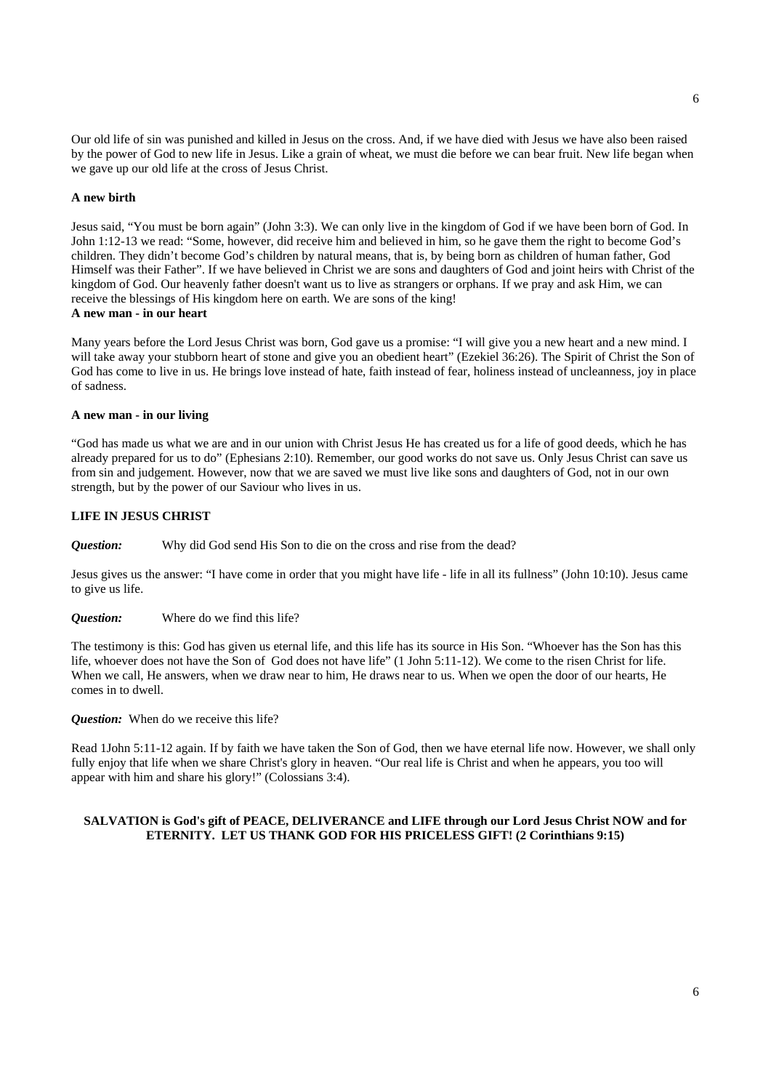Our old life of sin was punished and killed in Jesus on the cross. And, if we have died with Jesus we have also been raised by the power of God to new life in Jesus. Like a grain of wheat, we must die before we can bear fruit. New life began when we gave up our old life at the cross of Jesus Christ.

#### **A new birth**

Jesus said, "You must be born again" (John 3:3). We can only live in the kingdom of God if we have been born of God. In John 1:12-13 we read: "Some, however, did receive him and believed in him, so he gave them the right to become God's children. They didn't become God's children by natural means, that is, by being born as children of human father, God Himself was their Father". If we have believed in Christ we are sons and daughters of God and joint heirs with Christ of the kingdom of God. Our heavenly father doesn't want us to live as strangers or orphans. If we pray and ask Him, we can receive the blessings of His kingdom here on earth. We are sons of the king! **A new man - in our heart** 

Many years before the Lord Jesus Christ was born, God gave us a promise: "I will give you a new heart and a new mind. I will take away your stubborn heart of stone and give you an obedient heart" (Ezekiel 36:26). The Spirit of Christ the Son of God has come to live in us. He brings love instead of hate, faith instead of fear, holiness instead of uncleanness, joy in place of sadness.

#### **A new man - in our living**

"God has made us what we are and in our union with Christ Jesus He has created us for a life of good deeds, which he has already prepared for us to do" (Ephesians 2:10). Remember, our good works do not save us. Only Jesus Christ can save us from sin and judgement. However, now that we are saved we must live like sons and daughters of God, not in our own strength, but by the power of our Saviour who lives in us.

#### **LIFE IN JESUS CHRIST**

*Question:* Why did God send His Son to die on the cross and rise from the dead?

Jesus gives us the answer: "I have come in order that you might have life - life in all its fullness" (John 10:10). Jesus came to give us life.

*Question:* Where do we find this life?

The testimony is this: God has given us eternal life, and this life has its source in His Son. "Whoever has the Son has this life, whoever does not have the Son of God does not have life" (1 John 5:11-12). We come to the risen Christ for life. When we call, He answers, when we draw near to him, He draws near to us. When we open the door of our hearts, He comes in to dwell.

*Question:* When do we receive this life?

Read 1John 5:11-12 again. If by faith we have taken the Son of God, then we have eternal life now. However, we shall only fully enjoy that life when we share Christ's glory in heaven. "Our real life is Christ and when he appears, you too will appear with him and share his glory!" (Colossians 3:4).

#### **SALVATION is God's gift of PEACE, DELIVERANCE and LIFE through our Lord Jesus Christ NOW and for ETERNITY. LET US THANK GOD FOR HIS PRICELESS GIFT! (2 Corinthians 9:15)**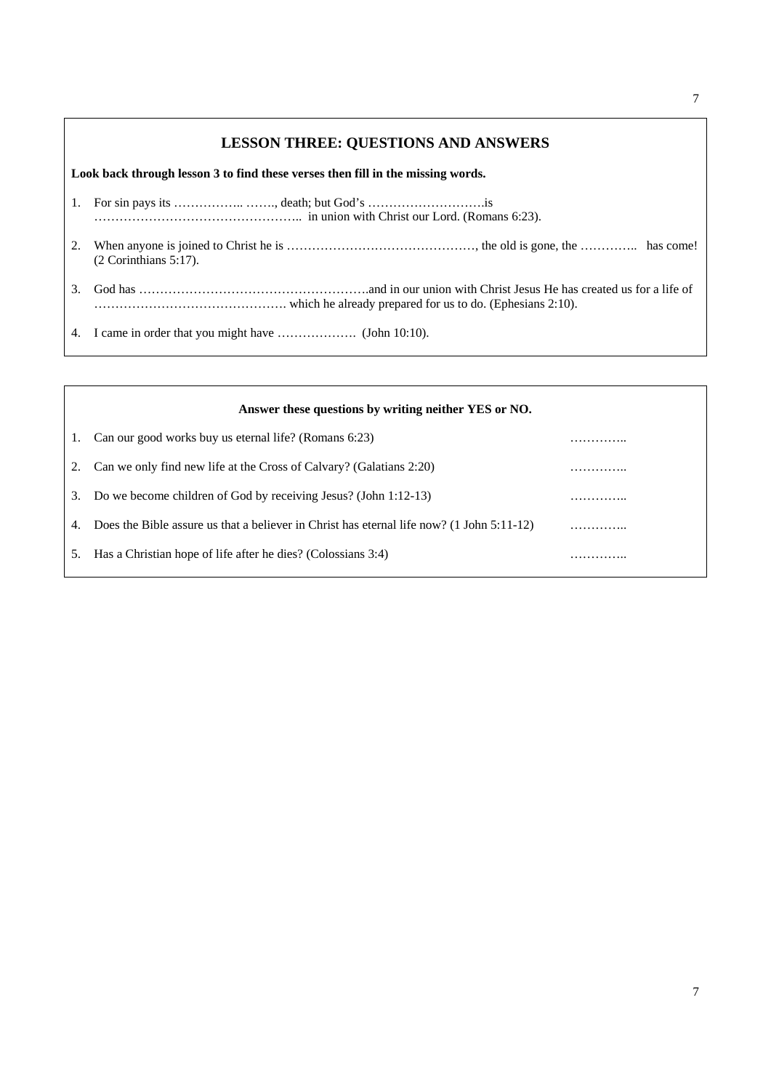### **LESSON THREE: QUESTIONS AND ANSWERS**

**Look back through lesson 3 to find these verses then fill in the missing words.**

- 1. For sin pays its …………………………… death; but God's ……………………………………is ………………………………………….. in union with Christ our Lord. (Romans 6:23).
- 2. When anyone is joined to Christ he is ………………………………………, the old is gone, the ………….. has come! (2 Corinthians 5:17).
- 3. God has ……………………………………………….and in our union with Christ Jesus He has created us for a life of ………………………………………. which he already prepared for us to do. (Ephesians 2:10).

4. I came in order that you might have ………………. (John 10:10).

 $\overline{1}$ 

|                | Answer these questions by writing neither YES or NO.                                      |   |
|----------------|-------------------------------------------------------------------------------------------|---|
| $\mathbf{I}$ . | Can our good works buy us eternal life? (Romans 6:23)                                     |   |
|                | Can we only find new life at the Cross of Calvary? (Galatians 2:20)                       | . |
| 3.             | Do we become children of God by receiving Jesus? (John 1:12-13)                           | . |
| 4.             | Does the Bible assure us that a believer in Christ has eternal life now? (1 John 5:11-12) | . |
| 5.             | Has a Christian hope of life after he dies? (Colossians 3:4)                              | . |